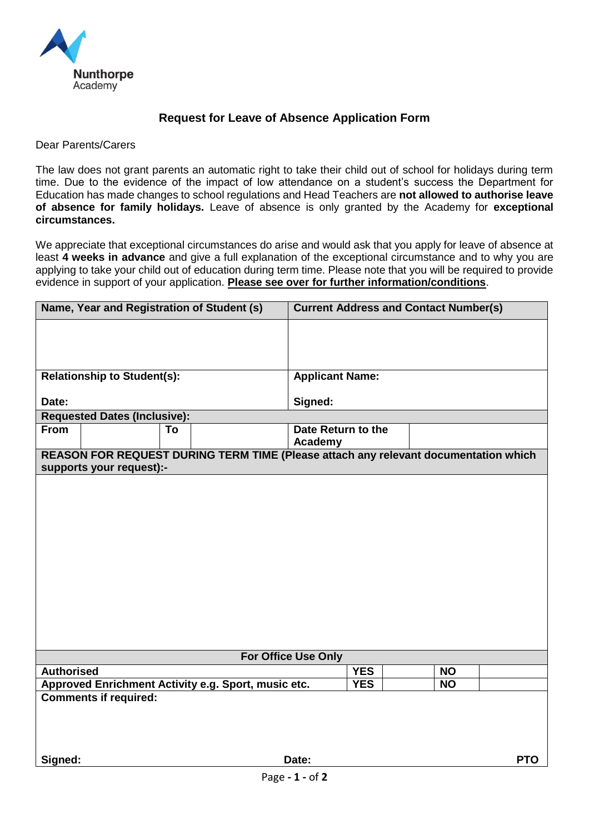

## **Request for Leave of Absence Application Form**

#### Dear Parents/Carers

The law does not grant parents an automatic right to take their child out of school for holidays during term time. Due to the evidence of the impact of low attendance on a student's success the Department for Education has made changes to school regulations and Head Teachers are **not allowed to authorise leave of absence for family holidays.** Leave of absence is only granted by the Academy for **exceptional circumstances.** 

We appreciate that exceptional circumstances do arise and would ask that you apply for leave of absence at least **4 weeks in advance** and give a full explanation of the exceptional circumstance and to why you are applying to take your child out of education during term time. Please note that you will be required to provide evidence in support of your application. **Please see over for further information/conditions**.

|                                                                                     |                 | Name, Year and Registration of Student (s)          |                               | <b>Current Address and Contact Number(s)</b> |           |            |  |
|-------------------------------------------------------------------------------------|-----------------|-----------------------------------------------------|-------------------------------|----------------------------------------------|-----------|------------|--|
|                                                                                     |                 |                                                     |                               |                                              |           |            |  |
|                                                                                     |                 |                                                     |                               |                                              |           |            |  |
| <b>Relationship to Student(s):</b>                                                  |                 |                                                     | <b>Applicant Name:</b>        |                                              |           |            |  |
|                                                                                     |                 |                                                     |                               |                                              |           |            |  |
| Date:                                                                               |                 |                                                     | Signed:                       |                                              |           |            |  |
| <b>Requested Dates (Inclusive):</b>                                                 |                 |                                                     |                               |                                              |           |            |  |
| <b>From</b>                                                                         |                 | To                                                  | Date Return to the<br>Academy |                                              |           |            |  |
| REASON FOR REQUEST DURING TERM TIME (Please attach any relevant documentation which |                 |                                                     |                               |                                              |           |            |  |
| supports your request):-                                                            |                 |                                                     |                               |                                              |           |            |  |
|                                                                                     |                 |                                                     |                               |                                              |           |            |  |
|                                                                                     |                 |                                                     |                               |                                              |           |            |  |
|                                                                                     |                 |                                                     |                               |                                              |           |            |  |
|                                                                                     |                 |                                                     |                               |                                              |           |            |  |
|                                                                                     |                 |                                                     |                               |                                              |           |            |  |
|                                                                                     |                 |                                                     |                               |                                              |           |            |  |
|                                                                                     |                 |                                                     |                               |                                              |           |            |  |
|                                                                                     |                 |                                                     |                               |                                              |           |            |  |
|                                                                                     |                 |                                                     |                               |                                              |           |            |  |
|                                                                                     |                 |                                                     |                               |                                              |           |            |  |
|                                                                                     |                 |                                                     |                               |                                              |           |            |  |
| <b>For Office Use Only</b>                                                          |                 |                                                     |                               |                                              |           |            |  |
| <b>Authorised</b>                                                                   |                 |                                                     |                               | <b>YES</b>                                   | <b>NO</b> |            |  |
|                                                                                     |                 | Approved Enrichment Activity e.g. Sport, music etc. |                               | <b>YES</b>                                   | <b>NO</b> |            |  |
| <b>Comments if required:</b>                                                        |                 |                                                     |                               |                                              |           |            |  |
|                                                                                     |                 |                                                     |                               |                                              |           |            |  |
|                                                                                     |                 |                                                     |                               |                                              |           |            |  |
|                                                                                     |                 |                                                     |                               |                                              |           |            |  |
| Signed:                                                                             |                 |                                                     | Date:                         |                                              |           | <b>PTO</b> |  |
|                                                                                     | Page - 1 - of 2 |                                                     |                               |                                              |           |            |  |